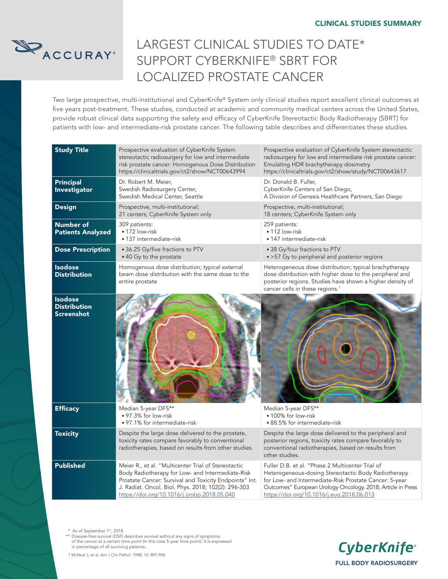

# LARGEST CLINICAL STUDIES TO DATE\* SUPPORT CYBERKNIFE® SBRT FOR LOCALIZED PROSTATE CANCER

Two large prospective, multi-institutional and CyberKnife® System only clinical studies report excellent clinical outcomes at five years post-treatment. These studies, conducted at academic and community medical centers across the United States, provide robust clinical data supporting the safety and efficacy of CyberKnife Stereotactic Body Radiotherapy (SBRT) for patients with low- and intermediate-risk prostate cancer. The following table describes and differentiates these studies.

| <b>Study Title</b>                                         | Prospective evaluation of CyberKnife System<br>stereotactic radiosurgery for low and intermediate<br>risk prostate cancer: Homogenous Dose Distribution<br>https://clinicaltrials.gov/ct2/show/NCT00643994                                                               | Prospective evaluation of CyberKnife System stereotactic<br>radiosurgery for low and intermediate risk prostate cancer:<br>Emulating HDR brachytherapy dosimetry<br>https://clinicaltrials.gov/ct2/show/study/NCT00643617                                                     |
|------------------------------------------------------------|--------------------------------------------------------------------------------------------------------------------------------------------------------------------------------------------------------------------------------------------------------------------------|-------------------------------------------------------------------------------------------------------------------------------------------------------------------------------------------------------------------------------------------------------------------------------|
| <b>Principal</b><br>Investigator                           | Dr. Robert M. Meier,<br>Swedish Radiosurgery Center,<br>Swedish Medical Center, Seattle                                                                                                                                                                                  | Dr. Donald B. Fuller,<br>CyberKnife Centers of San Diego,<br>A Division of Genesis Healthcare Partners, San Diego                                                                                                                                                             |
| <b>Design</b>                                              | Prospective, multi-institutional;<br>21 centers; CyberKnife System only                                                                                                                                                                                                  | Prospective, multi-institutional;<br>18 centers; CyberKnife System only                                                                                                                                                                                                       |
| Number of<br><b>Patients Analyzed</b>                      | 309 patients:<br>• 172 low-risk<br>• 137 intermediate-risk                                                                                                                                                                                                               | 259 patients:<br>$\bullet$ 112 low-risk<br>• 147 intermediate-risk                                                                                                                                                                                                            |
| <b>Dose Prescription</b>                                   | • 36.25 Gy/five fractions to PTV<br>• 40 Gy to the prostate                                                                                                                                                                                                              | • 38 Gy/four fractions to PTV<br>• > 57 Gy to peripheral and posterior regions                                                                                                                                                                                                |
| <b>Isodose</b><br><b>Distribution</b>                      | Homogenous dose distribution; typical external<br>beam dose distribution with the same dose to the<br>entire prostate                                                                                                                                                    | Heterogeneous dose distribution; typical brachytherapy<br>dose distribution with higher dose to the peripheral and<br>posterior regions. Studies have shown a higher density of<br>cancer cells in these regions. <sup>1</sup>                                                |
| <b>Isodose</b><br><b>Distribution</b><br><b>Screenshot</b> |                                                                                                                                                                                                                                                                          |                                                                                                                                                                                                                                                                               |
| <b>Efficacy</b>                                            | Median 5-year DFS**<br>• 97.3% for low-risk<br>• 97.1% for intermediate-risk                                                                                                                                                                                             | Median 5-year DFS**<br>• 100% for low-risk<br>• 88.5% for intermediate-risk                                                                                                                                                                                                   |
| <b>Toxicity</b>                                            | Despite the large dose delivered to the prostate,<br>toxicity rates compare favorably to conventional<br>radiotherapies, based on results from other studies.                                                                                                            | Despite the large dose delivered to the peripheral and<br>posterior regions, toxicity rates compare favorably to<br>conventional radiotherapies, based on results from<br>other studies.                                                                                      |
| <b>Published</b>                                           | Meier R., et al. "Multicenter Trial of Stereotactic<br>Body Radiotherapy for Low- and Intermediate-Risk<br>Prostate Cancer: Survival and Toxicity Endpoints" Int.<br>J. Radiat. Oncol. Biol. Phys. 2018; 102(2): 296-303<br>https://doi.org/10.1016/j.ijrobp.2018.05.040 | Fuller D.B. et al. "Phase 2 Multicenter Trial of<br>Heterogeneous-dosing Stereotactic Body Radiotherapy<br>for Low- and Intermediate-Risk Prostate Cancer: 5-year<br>Outcomes" European Urology Oncology. 2018; Article in Press<br>https://doi.org/10.1016/j.euo.2018.06.013 |

\* As of September 1st, 2018

\*\* Disease-free survival (DSF) describes survival without any signs of symptoms of the cancer at a certain time point (in this case 5-year time point). It is expressed in percentage of all surviving patients.



1 McNeal J, et al. Am J Clin Pathol. 1988; 12: 897-906